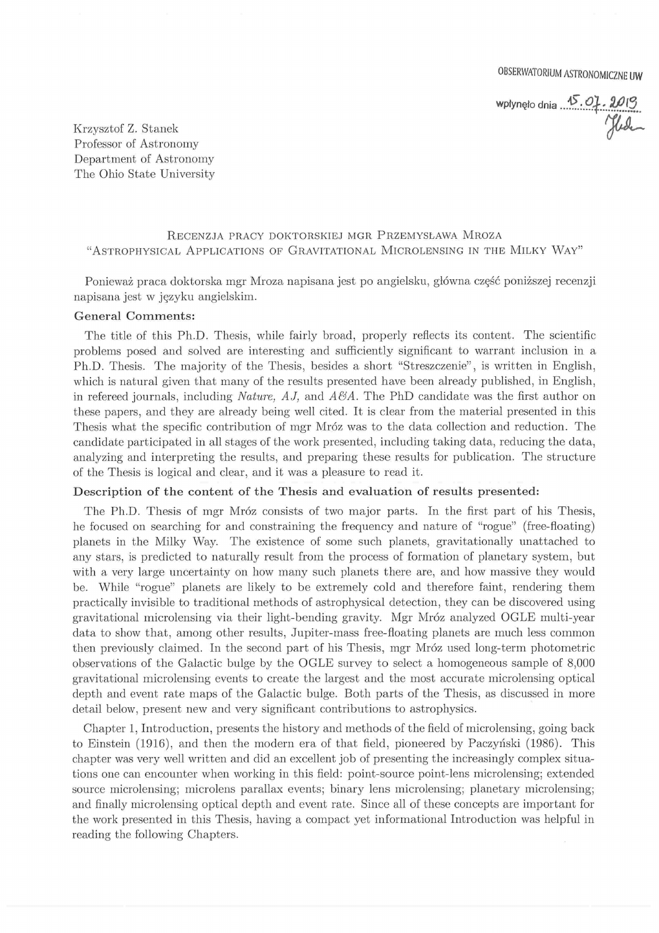OBSERWATORIUM ASTRONOMICZNE UW

wpłynęło dnia ...<sup>45</sup>.01.2019 Krzysztof Z. Stanek<br>Professor of Astronomy

Professor of Astronomy Department of Astronomy The Ohio State University

# RECENZJA PRACY DOKTORSKIEJ MGR PRZEMYSŁAWA MROZA "ASTROPHYSICAL APPLICATIONS OF GRAVITATIONAL MICROLENSING IN THE MILKY WAY"

Ponieważ praca doktorską mgr Mroza napisana jest po angielsku, główna część poniższej recenzji napisana jest w języku angielskim.

# General Comments:

The title of this Ph.D. Thesis, while fairly broad, properly refiects its content. The scientific problems posed and solved are interesting and sufficiently significant to warrant inclusion in a Ph.D. Thesis. The majority of the Thesis, besides a short "Streszczenie", is written in English, which is natural given that many of the results presented have been already published, in English, in refereed journals, including *Nature, AJ*, and  $\overline{AB}A$ . The PhD candidate was the first author on these papers, and they are already being well cited. It is clear from the material presented in this Thesis what the specific contribution of mgr Mróz was to the data collection and reduction. The candidate participated in all stages of the work presented, including taking data, reducing the data, analyzing and interpreting the results, and preparing these results for publication. The structure of the Thesis is logical and clear, and it was a pleasure to read it.

## Description of the content of the Thesis and evaluation of results presented:

The Ph.D. Thesis of mgr Mróz consists of two major parts. In the first part of his Thesis, he focused on searching for and constraining the frequency and nature of "rogue" (free-floating) planets in the Milky Way. The existence of some auch planets, giavitationally unattached to any stars, is predicted to naturally result from the process of formation of planetary system, but with a very large uncertainty on how many such planets there are, and how massive they would be. While "rogue" planets are likely to be extremely cold and therefore faint, rendering them practically invisible to traditional methods of astrophysical detection, they can be discovered using gravitational microlensing via their light-bending gravity. Mgr Mróz analyzed OGLE multi-year data to show that, among other results, Jupiter-mass free-floating planets are much less common then previously claimed. In the second part of his Thesis, mgr Mróz used long-term photometric observations of the Galactic bulge by the OGLE survey to select a homogeneous sample of 8,000 gravitational microlensing events to create the largest and the most accurate microlensing optical depth and event rate maps of the Galactic bulge. Both parts of the Thesis, as discussed in more detail below, present new and very significant contributions to astrophysics.

Chapter 1, Introduction, presents the history and methods of the field of microlensing, going back to Einstein (1916), and then the modern era of that field, pioneered by Paczyński(1986). This chapter was very well written and did an excellent job of presenting the incteasingly complex situations one can encounter when working in this field: point-source point-lens microlensing; extended source microlensing; microlens parallax events; binary lens microlensing; planetary microlensing; and finally microlensing optical depth and event rate. Since all of these concepts are important for the work piesented in this Thesis, having a compact yet informational Introduction was helpful in reading the following Chapters.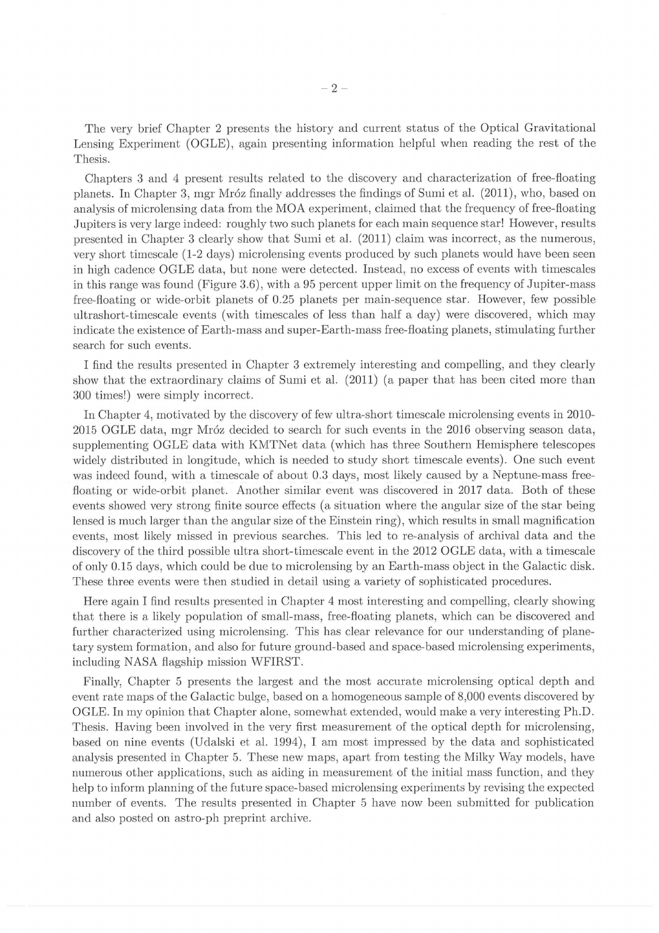The very brief Chapter 2 presents the history and current status of the Optical Gravitational Lensing Experiment (OGLE), again presenting information helpful when reading the rest of the Thesis

Chapters 3 and 4 present results related to the discovery and characterization of free-floating planets. In Chapter 3, mgr Mróz finally addresses the findings of Sumi et al. (2011), who, based on analysis of microlensing data from the MOA experiment, claimed that the frequency of free-floating Jupiters is very large indeed: roughly two such planets for each main sequence star! However, results presented in Chapter 3 clearly show that Sumi et al. (2011) claim was incorrect, as the numerous, very short timescale (1-2 days) microlensing events produced by such planeta would have been seen in high cadence OGLE data, but none were detected. Instead, no excess of events with timescales in this range was found (Figure 3.6), with a 95 percent upper limit on the frequency of Jupiter-mass free-fioating or wide-orbit planets of 0.25 planets per main-sequence star. However, few possible ultrashort-timescale events (with timescales of less than half a day) were discovered, which may indicate the existence of Earth-mass and super-Earth-mass free-floating planets, stimulating further search for auch events.

I find the results presented in Chapter 3 extremely interesting and compelling, and they clearly show that the extraordinary claims of Sumi et al. (2011) (a paper that has been cited more than 300 times!) were simply incorrect.

In Chapter 4, motivated by the discovery of few ultra-short timescale microlensing events in 2010-2015 OGLE data, mgr Mróz decided to search for such events in the 2016 observing season data, supplementing OGLE data with KMTNet data (which has three Southern Hemisphere telescopes widely distributed in longitude, which is needed to study short timescale events). One such event was indeed found, with a timescale of about 0.3 days, most likely caused by a Neptune-mass freefloating or wide-orbit planet. Another similar event was discovered in 2017 data. Both of these events showed very strong finite source effects (a situation where the angular size of the star being lensed is much larger than the angular size of the Einstein ring), which results in small magnification events, most likely missed in previous searches. This led to re-analysis of archival data and the discovery of the third possible ultra short timescale event in the 2012 0GLE data, with a timescale of only 0.15 days, which could be due to microlensing by an Earth-mass object in the Galactic disk. These three events were then studied in detail using a variety of sophisticated procedures.

Here again I find results presented in Chapter 4 most interesting and compelling, clearly showing that there is a likely population of small-mass, free-fioating planets, which can be discovered and further characterized using microlensing. This has clear relevance for our understanding of planetary system formation, and also for future ground-based and space-based microlensing experiments, including NASA fiagship mission WFIRST

Finally, Chapter 5 presents the largest and the most accurate microlensing optical depth and event rate maps of the Galactic bulge, based on a homogeneous sample of 8,000 events discovered by OGLE. In my opinion that Chapter alone, somewhat extended, would mike a very interesting Ph.D Thesis. Having been involved in the very first measurement of the optical depth for microlensing, based on nine events (Udalski et al. 1994), I am most impressed by the data and sophisticated analysis presented in Chapter 5. These new maps, apart from testing the Milky Way models, have numerous other applications, such as aiding in measurement of the initial mass function, and they help to inform planning of the future space-based microlensing experiments by revising the expected number of events. The results presented in Chapter 5 have now been submitted for publication and also posted on astro-ph preprint archive.